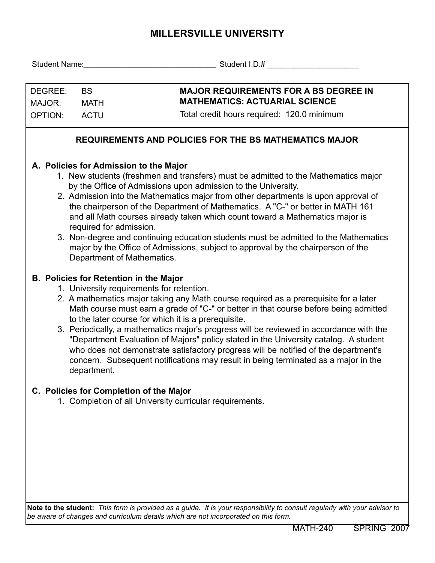## **MILLERSVILLE UNIVERSITY**

|                                                                                                                                                                                                                                                                                                                                                                                                                                                                                                                                                                                                                                                                                           |             | Student Name: Student I.D.#                                                                                                                                                                                                                                                                                                                                                                                                                                                                                                                                                                                                                                                                       |  |  |  |  |  |  |  |  |  |
|-------------------------------------------------------------------------------------------------------------------------------------------------------------------------------------------------------------------------------------------------------------------------------------------------------------------------------------------------------------------------------------------------------------------------------------------------------------------------------------------------------------------------------------------------------------------------------------------------------------------------------------------------------------------------------------------|-------------|---------------------------------------------------------------------------------------------------------------------------------------------------------------------------------------------------------------------------------------------------------------------------------------------------------------------------------------------------------------------------------------------------------------------------------------------------------------------------------------------------------------------------------------------------------------------------------------------------------------------------------------------------------------------------------------------------|--|--|--|--|--|--|--|--|--|
| DEGREE:<br><b>BS</b><br>MAJOR:<br><b>MATH</b>                                                                                                                                                                                                                                                                                                                                                                                                                                                                                                                                                                                                                                             |             | <b>MAJOR REQUIREMENTS FOR A BS DEGREE IN</b><br><b>MATHEMATICS: ACTUARIAL SCIENCE</b>                                                                                                                                                                                                                                                                                                                                                                                                                                                                                                                                                                                                             |  |  |  |  |  |  |  |  |  |
| <b>OPTION:</b>                                                                                                                                                                                                                                                                                                                                                                                                                                                                                                                                                                                                                                                                            | <b>ACTU</b> | Total credit hours required: 120.0 minimum                                                                                                                                                                                                                                                                                                                                                                                                                                                                                                                                                                                                                                                        |  |  |  |  |  |  |  |  |  |
| <b>REQUIREMENTS AND POLICIES FOR THE BS MATHEMATICS MAJOR</b>                                                                                                                                                                                                                                                                                                                                                                                                                                                                                                                                                                                                                             |             |                                                                                                                                                                                                                                                                                                                                                                                                                                                                                                                                                                                                                                                                                                   |  |  |  |  |  |  |  |  |  |
| A. Policies for Admission to the Major<br>1. New students (freshmen and transfers) must be admitted to the Mathematics major<br>by the Office of Admissions upon admission to the University.<br>2. Admission into the Mathematics major from other departments is upon approval of<br>the chairperson of the Department of Mathematics. A "C-" or better in MATH 161<br>and all Math courses already taken which count toward a Mathematics major is<br>required for admission.<br>3. Non-degree and continuing education students must be admitted to the Mathematics<br>major by the Office of Admissions, subject to approval by the chairperson of the<br>Department of Mathematics. |             |                                                                                                                                                                                                                                                                                                                                                                                                                                                                                                                                                                                                                                                                                                   |  |  |  |  |  |  |  |  |  |
|                                                                                                                                                                                                                                                                                                                                                                                                                                                                                                                                                                                                                                                                                           | department. | <b>B. Policies for Retention in the Major</b><br>1. University requirements for retention.<br>2. A mathematics major taking any Math course required as a prerequisite for a later<br>Math course must earn a grade of "C-" or better in that course before being admitted<br>to the later course for which it is a prerequisite.<br>3. Periodically, a mathematics major's progress will be reviewed in accordance with the<br>"Department Evaluation of Majors" policy stated in the University catalog. A student<br>who does not demonstrate satisfactory progress will be notified of the department's<br>concern. Subsequent notifications may result in being terminated as a major in the |  |  |  |  |  |  |  |  |  |
|                                                                                                                                                                                                                                                                                                                                                                                                                                                                                                                                                                                                                                                                                           |             | C. Policies for Completion of the Major<br>1. Completion of all University curricular requirements.                                                                                                                                                                                                                                                                                                                                                                                                                                                                                                                                                                                               |  |  |  |  |  |  |  |  |  |
|                                                                                                                                                                                                                                                                                                                                                                                                                                                                                                                                                                                                                                                                                           |             | Note to the student: This form is provided as a guide. It is your responsibility to consult regularly with your advisor to                                                                                                                                                                                                                                                                                                                                                                                                                                                                                                                                                                        |  |  |  |  |  |  |  |  |  |

*be aware of changes and curriculum details which are not incorporated on this form.*